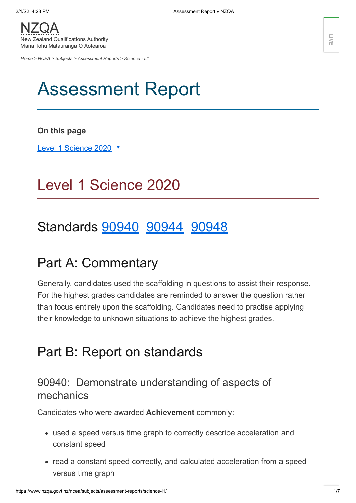*[Home](https://www.nzqa.govt.nz/home) > [NCEA](https://www.nzqa.govt.nz/ncea/) > [Subjects](https://www.nzqa.govt.nz/ncea/subjects/) > [Assessment Reports](https://www.nzqa.govt.nz/ncea/subjects/assessment-reports/) > Science - L1*

# Assessment Report

**On this page**

Level 1 [Science](https://www.nzqa.govt.nz/ncea/subjects/assessment-reports/science-l1/#heading2-0) 2020 ▼

# Level 1 Science 2020

## Standards **[90940](https://www.nzqa.govt.nz/ncea/subjects/assessment-reports/science-l1/#90940)** [90944](https://www.nzqa.govt.nz/ncea/subjects/assessment-reports/science-l1/#90944) [90948](https://www.nzqa.govt.nz/ncea/subjects/assessment-reports/science-l1/#90948)

## Part A: Commentary

Generally, candidates used the scaffolding in questions to assist their response. For the highest grades candidates are reminded to answer the question rather than focus entirely upon the scaffolding. Candidates need to practise applying their knowledge to unknown situations to achieve the highest grades.

## Part B: Report on standards

## 90940: Demonstrate understanding of aspects of mechanics

Candidates who were awarded **Achievement** commonly:

- used a speed versus time graph to correctly describe acceleration and constant speed
- read a constant speed correctly, and calculated acceleration from a speed versus time graph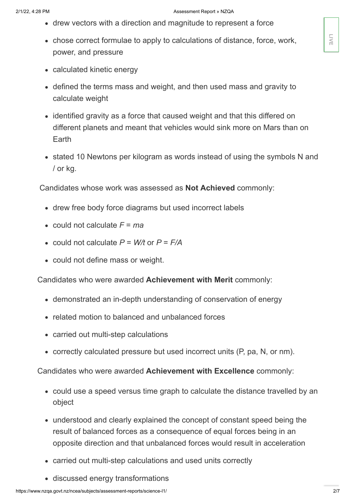- drew vectors with a direction and magnitude to represent a force
- chose correct formulae to apply to calculations of distance, force, work, power, and pressure
- calculated kinetic energy
- defined the terms mass and weight, and then used mass and gravity to calculate weight
- identified gravity as a force that caused weight and that this differed on different planets and meant that vehicles would sink more on Mars than on Earth
- stated 10 Newtons per kilogram as words instead of using the symbols N and / or kg.

Candidates whose work was assessed as **Not Achieved** commonly:

- drew free body force diagrams but used incorrect labels
- could not calculate  $F = ma$
- could not calculate  $P = W/t$  or  $P = F/A$
- could not define mass or weight.

Candidates who were awarded **Achievement with Merit** commonly:

- demonstrated an in-depth understanding of conservation of energy
- related motion to balanced and unbalanced forces
- carried out multi-step calculations
- correctly calculated pressure but used incorrect units (P, pa, N, or nm).

Candidates who were awarded **Achievement with Excellence** commonly:

- could use a speed versus time graph to calculate the distance travelled by an object
- understood and clearly explained the concept of constant speed being the result of balanced forces as a consequence of equal forces being in an opposite direction and that unbalanced forces would result in acceleration
- carried out multi-step calculations and used units correctly
- discussed energy transformations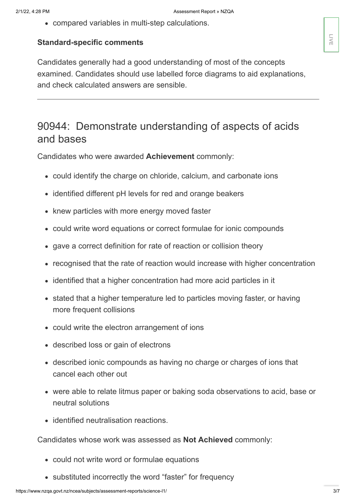compared variables in multi-step calculations.

#### **Standard-specific comments**

Candidates generally had a good understanding of most of the concepts examined. Candidates should use labelled force diagrams to aid explanations, and check calculated answers are sensible.

## 90944: Demonstrate understanding of aspects of acids and bases

Candidates who were awarded **Achievement** commonly:

- could identify the charge on chloride, calcium, and carbonate ions
- identified different pH levels for red and orange beakers
- knew particles with more energy moved faster
- could write word equations or correct formulae for ionic compounds
- gave a correct definition for rate of reaction or collision theory
- recognised that the rate of reaction would increase with higher concentration
- identified that a higher concentration had more acid particles in it
- stated that a higher temperature led to particles moving faster, or having more frequent collisions
- could write the electron arrangement of ions
- described loss or gain of electrons
- described ionic compounds as having no charge or charges of ions that cancel each other out
- were able to relate litmus paper or baking soda observations to acid, base or neutral solutions
- identified neutralisation reactions.

Candidates whose work was assessed as **Not Achieved** commonly:

- could not write word or formulae equations
- substituted incorrectly the word "faster" for frequency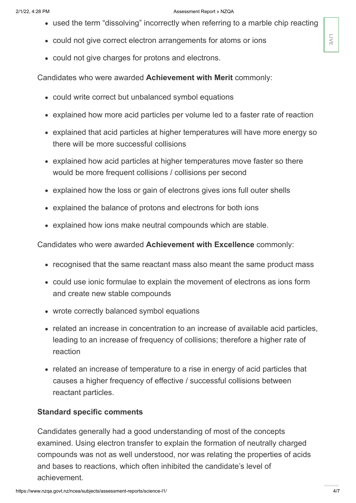#### 2/1/22, 4:28 PM **Assessment Report » NZQA**

- used the term "dissolving" incorrectly when referring to a marble chip reacting
- could not give correct electron arrangements for atoms or ions
- could not give charges for protons and electrons.

Candidates who were awarded **Achievement with Merit** commonly:

- could write correct but unbalanced symbol equations
- explained how more acid particles per volume led to a faster rate of reaction
- explained that acid particles at higher temperatures will have more energy so there will be more successful collisions
- explained how acid particles at higher temperatures move faster so there would be more frequent collisions / collisions per second
- explained how the loss or gain of electrons gives ions full outer shells
- explained the balance of protons and electrons for both ions
- explained how ions make neutral compounds which are stable.

Candidates who were awarded **Achievement with Excellence** commonly:

- recognised that the same reactant mass also meant the same product mass
- could use ionic formulae to explain the movement of electrons as ions form and create new stable compounds
- wrote correctly balanced symbol equations
- related an increase in concentration to an increase of available acid particles, leading to an increase of frequency of collisions; therefore a higher rate of reaction
- related an increase of temperature to a rise in energy of acid particles that causes a higher frequency of effective / successful collisions between reactant particles.

### **Standard specific comments**

Candidates generally had a good understanding of most of the concepts examined. Using electron transfer to explain the formation of neutrally charged compounds was not as well understood, nor was relating the properties of acids and bases to reactions, which often inhibited the candidate's level of • could not give correct electron arrangements for atoms or ions<br>• could not give charges for protons and electrons.<br>
Candidates who were awarded **Achievement with Merit** commonly:<br>
• could write correct but unbalanced sy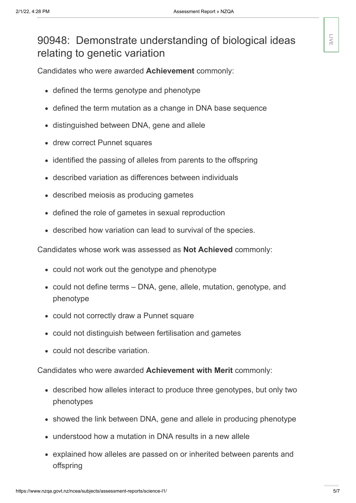## 90948: Demonstrate understanding of biological ideas relating to genetic variation

Candidates who were awarded **Achievement** commonly:

- defined the terms genotype and phenotype
- defined the term mutation as a change in DNA base sequence
- distinguished between DNA, gene and allele
- drew correct Punnet squares
- identified the passing of alleles from parents to the offspring  $\bullet$
- described variation as differences between individuals
- described meiosis as producing gametes
- defined the role of gametes in sexual reproduction
- described how variation can lead to survival of the species.

Candidates whose work was assessed as **Not Achieved** commonly:

- could not work out the genotype and phenotype
- could not define terms DNA, gene, allele, mutation, genotype, and phenotype
- could not correctly draw a Punnet square
- could not distinguish between fertilisation and gametes
- could not describe variation.

Candidates who were awarded **Achievement with Merit** commonly:

- described how alleles interact to produce three genotypes, but only two phenotypes
- showed the link between DNA, gene and allele in producing phenotype
- understood how a mutation in DNA results in a new allele
- explained how alleles are passed on or inherited between parents and offspring

**LIVE**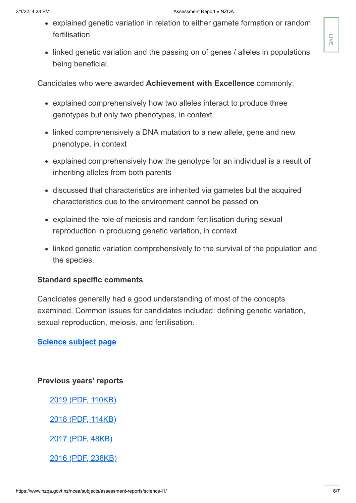- explained genetic variation in relation to either gamete formation or random fertilisation
- linked genetic variation and the passing on of genes / alleles in populations being beneficial.

Candidates who were awarded **Achievement with Excellence** commonly:

- explained comprehensively how two alleles interact to produce three genotypes but only two phenotypes, in context
- linked comprehensively a DNA mutation to a new allele, gene and new phenotype, in context
- explained comprehensively how the genotype for an individual is a result of inheriting alleles from both parents
- discussed that characteristics are inherited via gametes but the acquired characteristics due to the environment cannot be passed on
- explained the role of meiosis and random fertilisation during sexual reproduction in producing genetic variation, in context
- linked genetic variation comprehensively to the survival of the population and the species.

### **Standard specific comments**

Candidates generally had a good understanding of most of the concepts examined. Common issues for candidates included: defining genetic variation, sexual reproduction, meiosis, and fertilisation.

### **[Science](https://www.nzqa.govt.nz/ncea/subjects/physics/levels/) subject page**

**Previous years' reports**

2019 (PDF, [110KB\)](https://www.nzqa.govt.nz/assets/qualifications-and-standards/qualifications/ncea/Assessment-Reports/2019/ScienceL1-report-2019.pdf)

2018 (PDF, [114KB\)](https://www.nzqa.govt.nz/assets/qualifications-and-standards/qualifications/ncea/Assessment-Reports/2018/ScienceL1-report-2018.pdf)

2017 (PDF, [48KB\)](https://www.nzqa.govt.nz/assets/qualifications-and-standards/qualifications/ncea/Assessment-Reports/2017/science-l1.pdf)

2016 (PDF, [238KB\)](https://www.nzqa.govt.nz/assets/qualifications-and-standards/qualifications/ncea/Assessment-Reports/ScienceL1-report-2016.pdf)